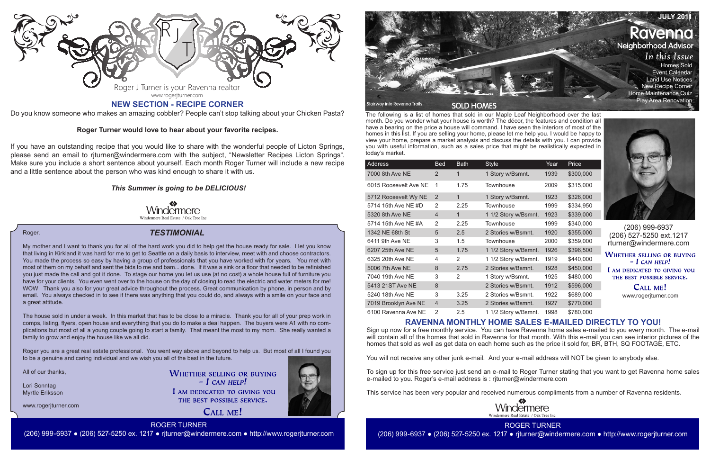The following is a list of homes that sold in our Maple Leaf Neighborhood over the last month. Do you wonder what your house is worth? The décor, the features and condition all have a bearing on the price a house will command. I have seen the interiors of most of the homes in this list. If you are selling your home, please let me help you. I would be happy to view your home, prepare a market analysis and discuss the details with you. I can provide you with useful information, such as a sales price that might be realistically expected in today's market.

> CALL ME! www.rogerjturner.com

| Address               | <b>Bed</b>     | <b>Bath</b> | <b>Style</b>         | Year | Price     |
|-----------------------|----------------|-------------|----------------------|------|-----------|
| 7000 8th Ave NE       | $\overline{2}$ | 1           | 1 Story w/Bsmnt.     | 1939 | \$300,000 |
| 6015 Roosevelt Ave NE | 1              | 1.75        | Townhouse            | 2009 | \$315,000 |
| 5712 Roosevelt Wy NE  | $\overline{2}$ | 1           | 1 Story w/Bsmnt.     | 1923 | \$326,000 |
| 5714 15th Ave NE #D   | 2              | 2.25        | Townhouse            | 1999 | \$334,950 |
| 5320 8th Ave NE       | $\overline{4}$ | $\mathbf 1$ | 1 1/2 Story w/Bsmnt. | 1923 | \$339,000 |
| 5714 15th Ave NE #A   | 2              | 2.25        | Townhouse            | 1999 | \$340,000 |
| 1342 NE 68th St       | 5              | 2.5         | 2 Stories w/Bsmnt.   | 1920 | \$355,000 |
| 6411 9th Ave NE       | 3              | 1.5         | Townhouse            | 2000 | \$359,000 |
| 6207 25th Ave NE      | 5              | 1.75        | 1 1/2 Story w/Bsmnt. | 1926 | \$396,500 |
| 6325 20th Ave NE      | 4              | 2           | 1 1/2 Story w/Bsmnt. | 1919 | \$440,000 |
| 5006 7th Ave NE       | 8              | 2.75        | 2 Stories w/Bsmnt.   | 1928 | \$450,000 |
| 7040 19th Ave NE      | 3              | 2           | 1 Story w/Bsmnt.     | 1925 | \$480,000 |
| 5413 21ST Ave NE      | 8              |             | 2 Stories w/Bsmnt.   | 1912 | \$596,000 |
| 5240 18th Ave NE      | 3              | 3.25        | 2 Stories w/Bsmnt.   | 1922 | \$689,000 |
| 7019 Brooklyn Ave NE  | $\overline{4}$ | 3.25        | 2 Stories w/Bsmnt.   | 1927 | \$770,000 |
| 6100 Ravenna Ave NE   | 2              | 2.5         | 1 1/2 Story w/Bsmnt. | 1998 | \$780,000 |

The house sold in under a week. In this market that has to be close to a miracle. Thank you for all of your prep work in comps, listing, flyers, open house and everything that you do to make a deal happen. The buyers were A1 with no complications but most of all a young couple going to start a family. That meant the most to my mom. She really wanted a family to grow and enjoy the house like we all did.



(206) 999-6937 (206) 527-5250 ext.1217 rturner@windermere.com

**WHETHER SELLING OR BUYING**  $-$  I CAN HELP! I AM DEDICATED TO GIVING YOU THE BEST POSSIBLE SERVICE.

## *TESTIMONIAL*

www.rogerjturner.com

**WHETHER SELLING OR BUYING**  $-$  *L* CAN HELP! I AM DEDICATED TO GIVING YOU THE BEST POSSIBLE SERVICE.

CALL ME!





Stairway into Ravenna Trails

**SOLD HOMES** 

ROGER TURNER (206) 999-6937 ● (206) 527-5250 ex. 1217 ● rjturner@windermere.com ● http://www.rogerjturner.com

#### Roger,

My mother and I want to thank you for all of the hard work you did to help get the house ready for sale. I let you know that living in Kirkland it was hard for me to get to Seattle on a daily basis to interview, meet with and choose contractors. You made the process so easy by having a group of professionals that you have worked with for years. You met with most of them on my behalf and sent the bids to me and bam... done. If it was a sink or a floor that needed to be refinished you just made the call and got it done. To stage our home you let us use (at no cost) a whole house full of furniture you have for your clients. You even went over to the house on the day of closing to read the electric and water meters for me! WOW Thank you also for your great advice throughout the process. Great communication by phone, in person and by email. You always checked in to see if there was anything that you could do, and always with a smile on your face and a great attitude.

Roger you are a great real estate professional. You went way above and beyond to help us. But most of all I found you to be a genuine and caring individual and we wish you all of the best in the future.

All of our thanks,

Lori Sonntag Myrtle Eriksson

# **RAVENNA MONTHLY HOME SALES E-MAILED DIRECTLY TO YOU!**

Sign up now for a free monthly service. You can have Ravenna home sales e-mailed to you every month. The e-mail will contain all of the homes that sold in Ravenna for that month. With this e-mail you can see interior pictures of the homes that sold as well as get data on each home such as the price it sold for, BR, BTH, SQ FOOTAGE, ETC.

You will not receive any other junk e-mail. And your e-mail address will NOT be given to anybody else.

To sign up for this free service just send an e-mail to Roger Turner stating that you want to get Ravenna home sales e-mailed to you. Roger's e-mail address is : rjturner@windermere.com

This service has been very popular and received numerous compliments from a number of Ravenna residents.



**JULY 2011** Ravenno **Neighborhood Advisor** In this Issue Homes Sold Event Calendar Land Use Notices New Recipe Corner Home Maintenance Quiz Play Area Renovation



Do you know someone who makes an amazing cobbler? People can't stop talking about your Chicken Pasta?

### **Roger Turner would love to hear about your favorite recipes.**

If you have an outstanding recipe that you would like to share with the wonderful people of Licton Springs, please send an email to rjturner@windermere.com with the subject, "Newsletter Recipes Licton Springs". Make sure you include a short sentence about yourself. Each month Roger Turner will include a new recipe and a little sentence about the person who was kind enough to share it with us.

## *This Summer is going to be DELICIOUS!*